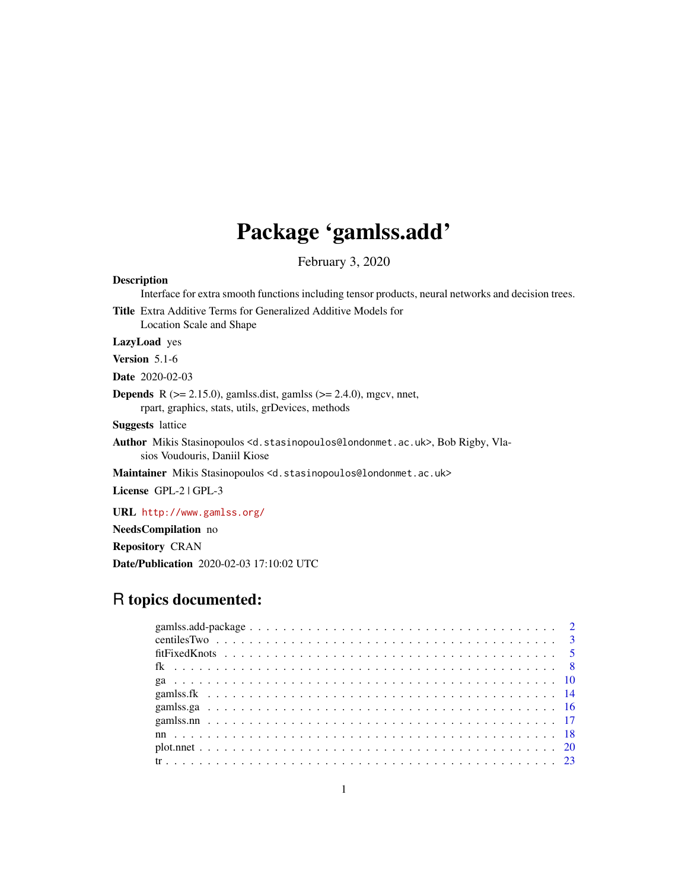# Package 'gamlss.add'

February 3, 2020

#### <span id="page-0-0"></span>Description

Interface for extra smooth functions including tensor products, neural networks and decision trees.

Title Extra Additive Terms for Generalized Additive Models for Location Scale and Shape

LazyLoad yes

Version 5.1-6

Date 2020-02-03

**Depends** R  $(>= 2.15.0)$ , gamlss.dist, gamlss  $(>= 2.4.0)$ , mgcv, nnet, rpart, graphics, stats, utils, grDevices, methods

Suggests lattice

Author Mikis Stasinopoulos <d.stasinopoulos@londonmet.ac.uk>, Bob Rigby, Vlasios Voudouris, Daniil Kiose

Maintainer Mikis Stasinopoulos <d.stasinopoulos@londonmet.ac.uk>

License GPL-2 | GPL-3

URL <http://www.gamlss.org/>

NeedsCompilation no Repository CRAN

Date/Publication 2020-02-03 17:10:02 UTC

## R topics documented: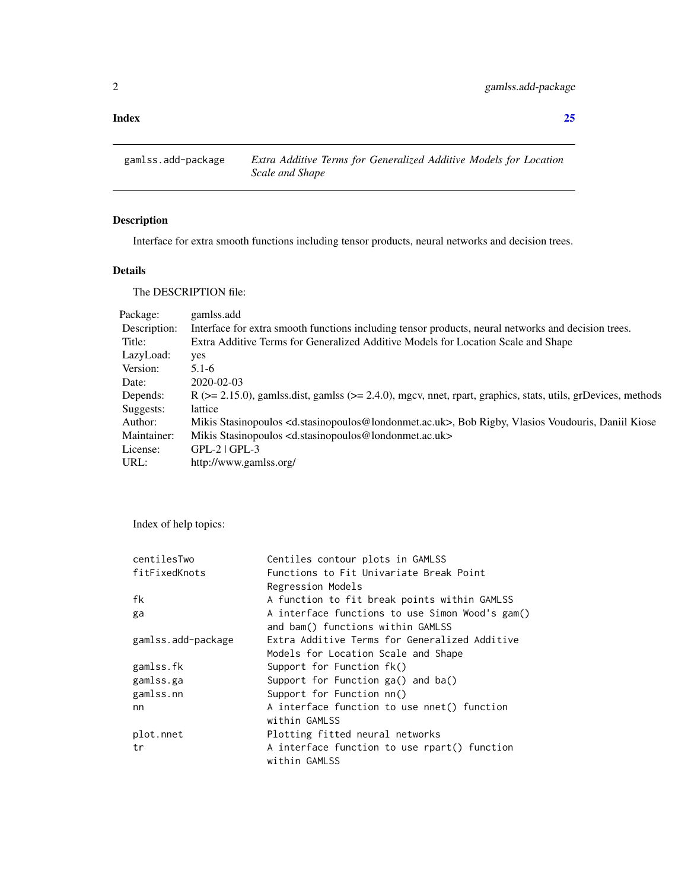#### <span id="page-1-0"></span>**Index** [25](#page-24-0)

gamlss.add-package *Extra Additive Terms for Generalized Additive Models for Location Scale and Shape*

### Description

Interface for extra smooth functions including tensor products, neural networks and decision trees.

### Details

The DESCRIPTION file:

| Package:     | gamlss.add                                                                                                                          |
|--------------|-------------------------------------------------------------------------------------------------------------------------------------|
| Description: | Interface for extra smooth functions including tensor products, neural networks and decision trees.                                 |
| Title:       | Extra Additive Terms for Generalized Additive Models for Location Scale and Shape                                                   |
| LazyLoad:    | yes                                                                                                                                 |
| Version:     | $5.1 - 6$                                                                                                                           |
| Date:        | 2020-02-03                                                                                                                          |
| Depends:     | $R$ ( $>= 2.15.0$ ), gamlss dist, gamlss ( $>= 2.4.0$ ), mgcv, nnet, rpart, graphics, stats, utils, grDevices, methods              |
| Suggests:    | lattice                                                                                                                             |
| Author:      | Mikis Stasinopoulos <d.stasinopoulos@londonmet.ac.uk>, Bob Rigby, Vlasios Voudouris, Daniil Kiose</d.stasinopoulos@londonmet.ac.uk> |
| Maintainer:  | Mikis Stasinopoulos <d.stasinopoulos@londonmet.ac.uk></d.stasinopoulos@londonmet.ac.uk>                                             |
| License:     | $GPL-2$ $GPL-3$                                                                                                                     |
| URL:         | http://www.gamlss.org/                                                                                                              |

Index of help topics:

| centilesTwo        | Centiles contour plots in GAMLSS                |
|--------------------|-------------------------------------------------|
| fitFixedKnots      | Functions to Fit Univariate Break Point         |
|                    | Regression Models                               |
| fk                 | A function to fit break points within GAMLSS    |
| ga                 | A interface functions to use Simon Wood's gam() |
|                    | and bam() functions within GAMLSS               |
| gamlss.add-package | Extra Additive Terms for Generalized Additive   |
|                    | Models for Location Scale and Shape             |
| gamlss.fk          | Support for Function fk()                       |
| gamlss.ga          | Support for Function ga() and ba()              |
| gamlss.nn          | Support for Function nn()                       |
| nn                 | A interface function to use nnet() function     |
|                    | within GAMLSS                                   |
| plot.nnet          | Plotting fitted neural networks                 |
| tr                 | A interface function to use rpart() function    |
|                    | within GAMLSS                                   |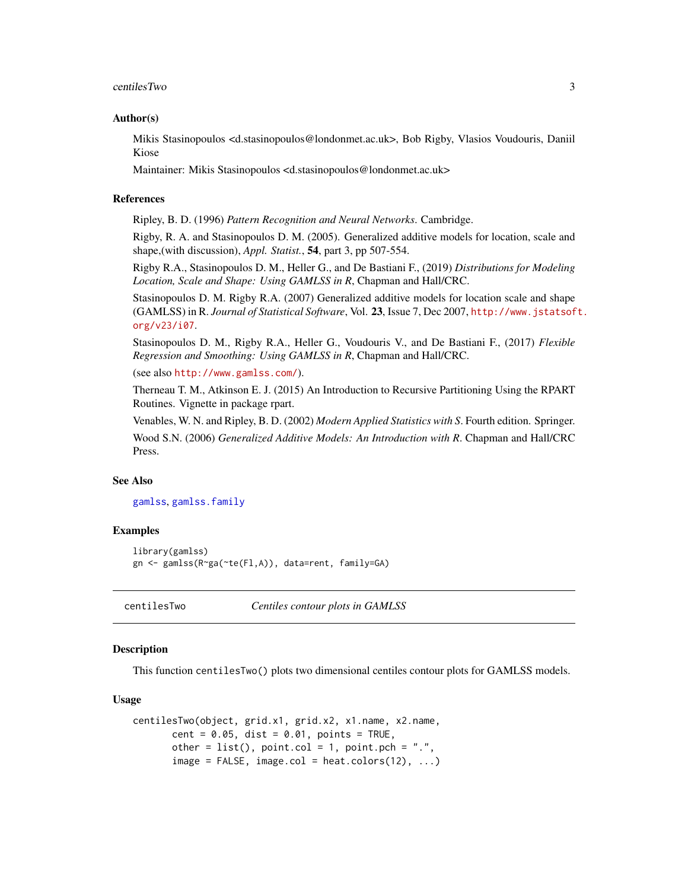#### <span id="page-2-0"></span>centiles Two 3

#### Author(s)

Mikis Stasinopoulos <d.stasinopoulos@londonmet.ac.uk>, Bob Rigby, Vlasios Voudouris, Daniil Kiose

Maintainer: Mikis Stasinopoulos <d.stasinopoulos@londonmet.ac.uk>

#### References

Ripley, B. D. (1996) *Pattern Recognition and Neural Networks*. Cambridge.

Rigby, R. A. and Stasinopoulos D. M. (2005). Generalized additive models for location, scale and shape,(with discussion), *Appl. Statist.*, 54, part 3, pp 507-554.

Rigby R.A., Stasinopoulos D. M., Heller G., and De Bastiani F., (2019) *Distributions for Modeling Location, Scale and Shape: Using GAMLSS in R*, Chapman and Hall/CRC.

Stasinopoulos D. M. Rigby R.A. (2007) Generalized additive models for location scale and shape (GAMLSS) in R. *Journal of Statistical Software*, Vol. 23, Issue 7, Dec 2007, [http://www.jstatsof](http://www.jstatsoft.org/v23/i07)t. [org/v23/i07](http://www.jstatsoft.org/v23/i07).

Stasinopoulos D. M., Rigby R.A., Heller G., Voudouris V., and De Bastiani F., (2017) *Flexible Regression and Smoothing: Using GAMLSS in R*, Chapman and Hall/CRC.

(see also <http://www.gamlss.com/>).

Therneau T. M., Atkinson E. J. (2015) An Introduction to Recursive Partitioning Using the RPART Routines. Vignette in package rpart.

Venables, W. N. and Ripley, B. D. (2002) *Modern Applied Statistics with S*. Fourth edition. Springer. Wood S.N. (2006) *Generalized Additive Models: An Introduction with R*. Chapman and Hall/CRC Press.

#### See Also

[gamlss](#page-0-0), [gamlss.family](#page-0-0)

#### Examples

```
library(gamlss)
gn <- gamlss(R~ga(~te(Fl,A)), data=rent, family=GA)
```
centilesTwo *Centiles contour plots in GAMLSS*

#### Description

This function centilesTwo() plots two dimensional centiles contour plots for GAMLSS models.

#### Usage

```
centilesTwo(object, grid.x1, grid.x2, x1.name, x2.name,
       cent = 0.05, dist = 0.01, points = TRUE,
       other = list(), point.col = 1, point.pch = ".".image = FALSE, image,col = heat.colors(12), ...
```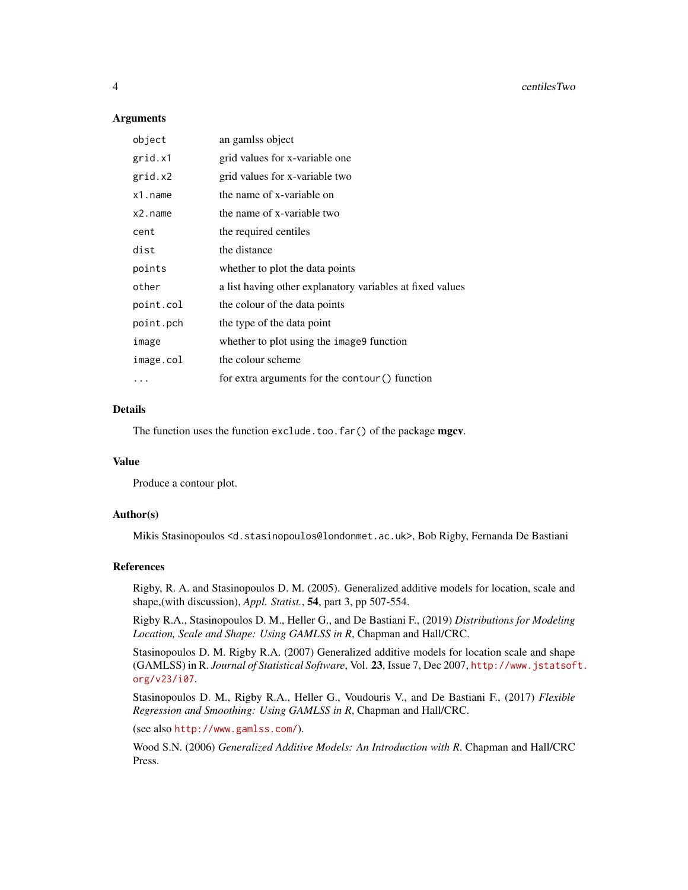#### **Arguments**

| object    | an gamlss object                                          |
|-----------|-----------------------------------------------------------|
| grid.x1   | grid values for x-variable one                            |
| grid.x2   | grid values for x-variable two                            |
| x1.name   | the name of x-variable on                                 |
| x2.name   | the name of x-variable two                                |
| cent      | the required centiles                                     |
| dist      | the distance                                              |
| points    | whether to plot the data points                           |
| other     | a list having other explanatory variables at fixed values |
| point.col | the colour of the data points                             |
| point.pch | the type of the data point                                |
| image     | whether to plot using the image9 function                 |
| image.col | the colour scheme                                         |
|           | for extra arguments for the contour () function           |

#### Details

The function uses the function exclude.too.far() of the package mgcv.

#### Value

Produce a contour plot.

#### Author(s)

Mikis Stasinopoulos <d.stasinopoulos@londonmet.ac.uk>, Bob Rigby, Fernanda De Bastiani

#### References

Rigby, R. A. and Stasinopoulos D. M. (2005). Generalized additive models for location, scale and shape,(with discussion), *Appl. Statist.*, 54, part 3, pp 507-554.

Rigby R.A., Stasinopoulos D. M., Heller G., and De Bastiani F., (2019) *Distributions for Modeling Location, Scale and Shape: Using GAMLSS in R*, Chapman and Hall/CRC.

Stasinopoulos D. M. Rigby R.A. (2007) Generalized additive models for location scale and shape (GAMLSS) in R. *Journal of Statistical Software*, Vol. 23, Issue 7, Dec 2007, [http://www.jstatsof](http://www.jstatsoft.org/v23/i07)t. [org/v23/i07](http://www.jstatsoft.org/v23/i07).

Stasinopoulos D. M., Rigby R.A., Heller G., Voudouris V., and De Bastiani F., (2017) *Flexible Regression and Smoothing: Using GAMLSS in R*, Chapman and Hall/CRC.

(see also <http://www.gamlss.com/>).

Wood S.N. (2006) *Generalized Additive Models: An Introduction with R*. Chapman and Hall/CRC Press.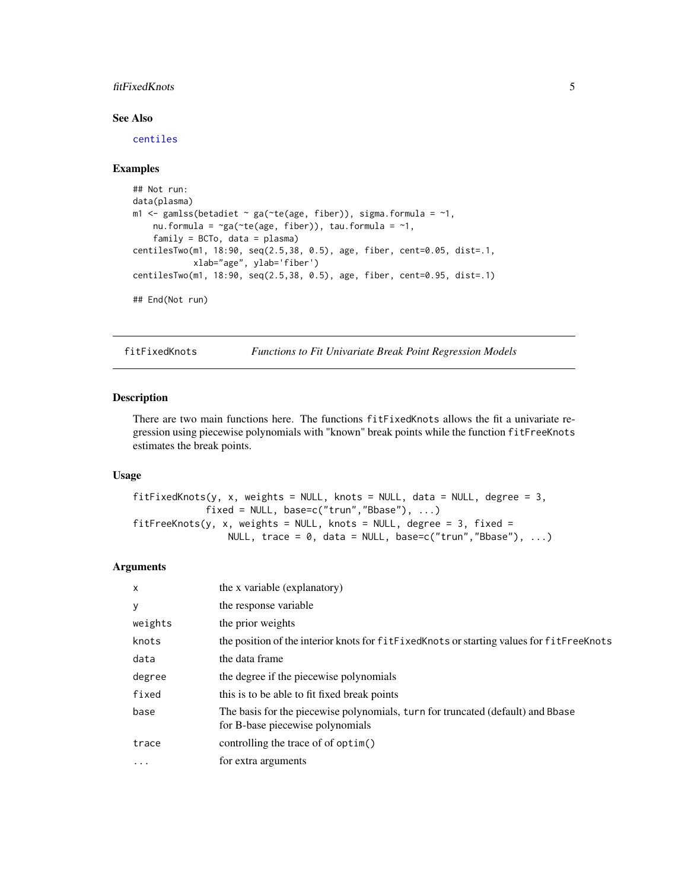#### <span id="page-4-0"></span>fitFixedKnots 5

#### See Also

[centiles](#page-0-0)

#### Examples

```
## Not run:
data(plasma)
m1 <- gamlss(betadiet \sim ga(\simte(age, fiber)), sigma.formula = \sim1,
    nu.formula = \text{sg}(\text{cte}(\text{age}, \text{fiber})), \text{tau}.family = BCTo, data = plasma)
centilesTwo(m1, 18:90, seq(2.5,38, 0.5), age, fiber, cent=0.05, dist=.1,
             xlab="age", ylab='fiber')
centilesTwo(m1, 18:90, seq(2.5,38, 0.5), age, fiber, cent=0.95, dist=.1)
## End(Not run)
```
fitFixedKnots *Functions to Fit Univariate Break Point Regression Models*

#### Description

There are two main functions here. The functions fitFixedKnots allows the fit a univariate regression using piecewise polynomials with "known" break points while the function fitFreeKnots estimates the break points.

#### Usage

```
fitFixedKnots(y, x, weights = NULL, knots = NULL, data = NULL, degree = 3,fixed = NULL, base=c("trun","Bbase"), ...)
fitFreeKnots(y, x, weights = NULL, knots = NULL, degree = 3, fixed =NULL, trace = 0, data = NULL, base=c("trun","Bbase"), ...)
```
#### Arguments

| $\mathsf{x}$ | the x variable (explanatory)                                                                                        |
|--------------|---------------------------------------------------------------------------------------------------------------------|
| y            | the response variable                                                                                               |
| weights      | the prior weights                                                                                                   |
| knots        | the position of the interior knots for fit Fixed Knots or starting values for fit Free Knots                        |
| data         | the data frame                                                                                                      |
| degree       | the degree if the piecewise polynomials                                                                             |
| fixed        | this is to be able to fit fixed break points                                                                        |
| base         | The basis for the piecewise polynomials, turn for truncated (default) and Bbase<br>for B-base piecewise polynomials |
| trace        | controlling the trace of of optim()                                                                                 |
| $\cdots$     | for extra arguments                                                                                                 |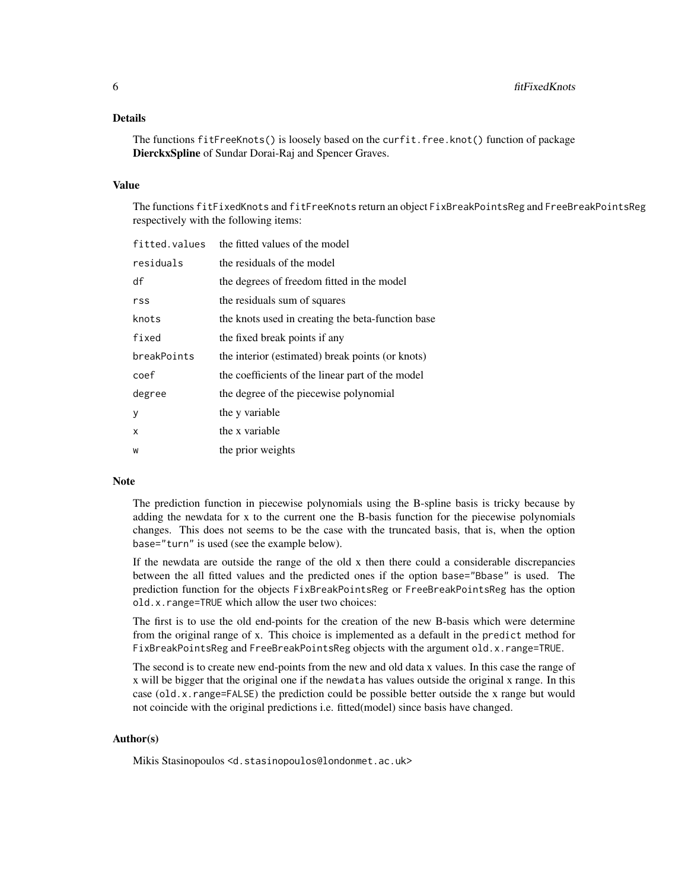#### Details

The functions fitFreeKnots() is loosely based on the curfit.free.knot() function of package DierckxSpline of Sundar Dorai-Raj and Spencer Graves.

#### Value

The functions fitFixedKnots and fitFreeKnots return an object FixBreakPointsReg and FreeBreakPointsReg respectively with the following items:

| fitted.values | the fitted values of the model                    |
|---------------|---------------------------------------------------|
| residuals     | the residuals of the model                        |
| df            | the degrees of freedom fitted in the model        |
| rss           | the residuals sum of squares                      |
| knots         | the knots used in creating the beta-function base |
| fixed         | the fixed break points if any                     |
| breakPoints   | the interior (estimated) break points (or knots)  |
| coef          | the coefficients of the linear part of the model  |
| degree        | the degree of the piecewise polynomial            |
| У             | the y variable                                    |
| x             | the x variable                                    |
| W             | the prior weights                                 |

#### Note

The prediction function in piecewise polynomials using the B-spline basis is tricky because by adding the newdata for x to the current one the B-basis function for the piecewise polynomials changes. This does not seems to be the case with the truncated basis, that is, when the option base="turn" is used (see the example below).

If the newdata are outside the range of the old x then there could a considerable discrepancies between the all fitted values and the predicted ones if the option base="Bbase" is used. The prediction function for the objects FixBreakPointsReg or FreeBreakPointsReg has the option old.x.range=TRUE which allow the user two choices:

The first is to use the old end-points for the creation of the new B-basis which were determine from the original range of x. This choice is implemented as a default in the predict method for FixBreakPointsReg and FreeBreakPointsReg objects with the argument old.x.range=TRUE.

The second is to create new end-points from the new and old data x values. In this case the range of x will be bigger that the original one if the newdata has values outside the original x range. In this case (old.x.range=FALSE) the prediction could be possible better outside the x range but would not coincide with the original predictions i.e. fitted(model) since basis have changed.

#### Author(s)

Mikis Stasinopoulos <d.stasinopoulos@londonmet.ac.uk>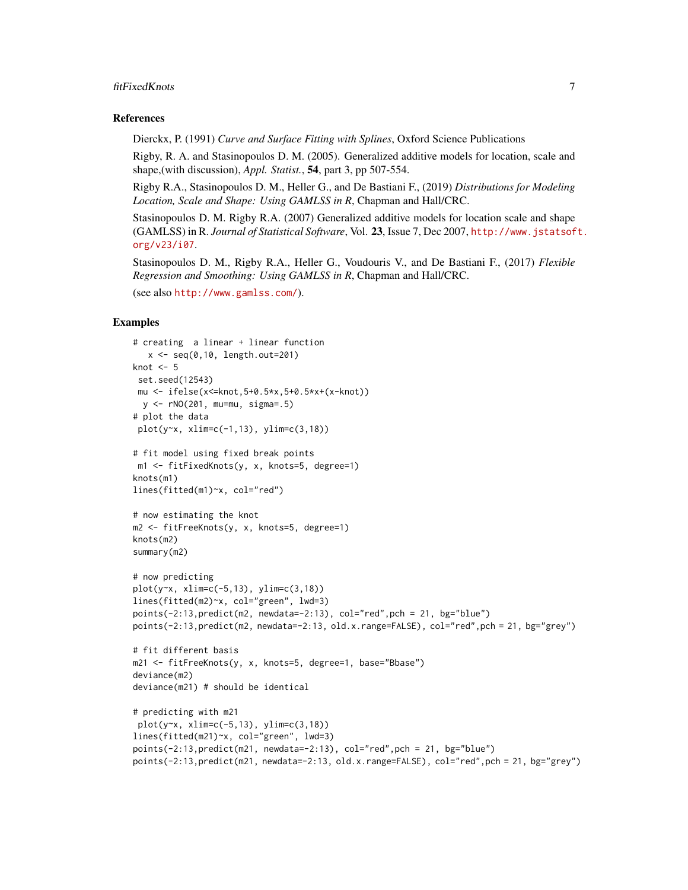#### fitFixedKnots 7

#### References

Dierckx, P. (1991) *Curve and Surface Fitting with Splines*, Oxford Science Publications

Rigby, R. A. and Stasinopoulos D. M. (2005). Generalized additive models for location, scale and shape,(with discussion), *Appl. Statist.*, 54, part 3, pp 507-554.

Rigby R.A., Stasinopoulos D. M., Heller G., and De Bastiani F., (2019) *Distributions for Modeling Location, Scale and Shape: Using GAMLSS in R*, Chapman and Hall/CRC.

Stasinopoulos D. M. Rigby R.A. (2007) Generalized additive models for location scale and shape (GAMLSS) in R. *Journal of Statistical Software*, Vol. 23, Issue 7, Dec 2007, [http://www.jstatsof](http://www.jstatsoft.org/v23/i07)t. [org/v23/i07](http://www.jstatsoft.org/v23/i07).

Stasinopoulos D. M., Rigby R.A., Heller G., Voudouris V., and De Bastiani F., (2017) *Flexible Regression and Smoothing: Using GAMLSS in R*, Chapman and Hall/CRC.

(see also <http://www.gamlss.com/>).

#### Examples

```
# creating a linear + linear function
  x \leq -\text{seq}(0, 10, \text{ length.out}=201)knot <-5set.seed(12543)
 mu <- ifelse(x<=knot,5+0.5*x,5+0.5*x+(x-knot))
 y <- rNO(201, mu=mu, sigma=.5)
# plot the data
 plot(y~x, xlim=c(-1,13), ylim=c(3,18))
# fit model using fixed break points
m1 <- fitFixedKnots(y, x, knots=5, degree=1)
knots(m1)
lines(fitted(m1)~x, col="red")
# now estimating the knot
m2 <- fitFreeKnots(y, x, knots=5, degree=1)
knots(m2)
summary(m2)
# now predicting
plot(y~x, xlim=c(-5,13), ylim=c(3,18))
lines(fitted(m2)~x, col="green", lwd=3)
points(-2:13,predict(m2, newdata=-2:13), col="red",pch = 21, bg="blue")
points(-2:13,predict(m2, newdata=-2:13, old.x.range=FALSE), col="red",pch = 21, bg="grey")
# fit different basis
m21 <- fitFreeKnots(y, x, knots=5, degree=1, base="Bbase")
deviance(m2)
deviance(m21) # should be identical
# predicting with m21
plot(y~x, xlim=c(-5,13), ylim=c(3,18))
lines(fitted(m21)~x, col="green", lwd=3)
points(-2:13,predict(m21, newdata=-2:13), col="red",pch = 21, bg="blue")
points(-2:13,predict(m21, newdata=-2:13, old.x.range=FALSE), col="red",pch = 21, bg="grey")
```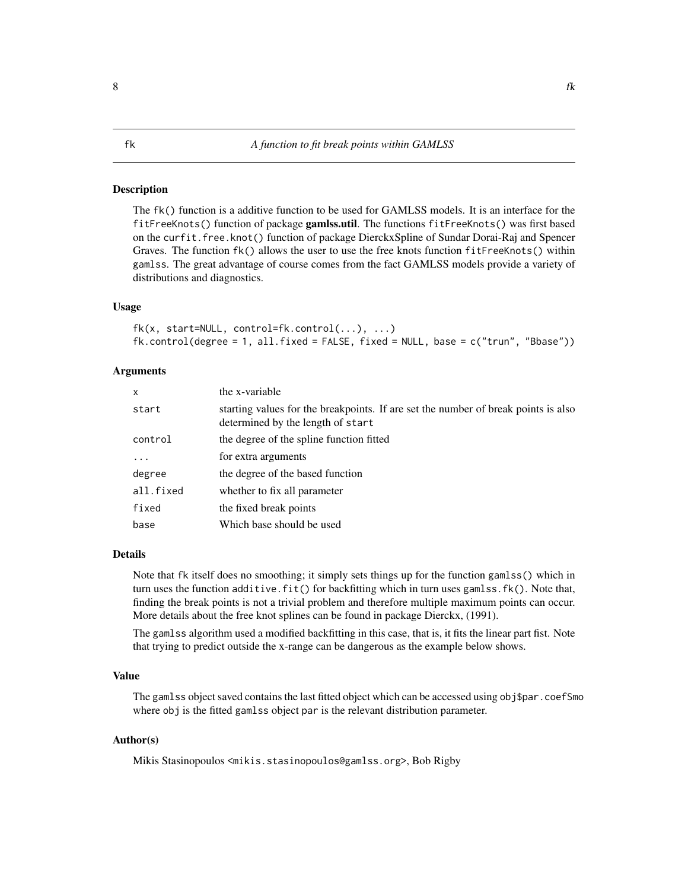<span id="page-7-1"></span><span id="page-7-0"></span>The fk() function is a additive function to be used for GAMLSS models. It is an interface for the fitFreeKnots() function of package gamlss.util. The functions fitFreeKnots() was first based on the curfit.free.knot() function of package DierckxSpline of Sundar Dorai-Raj and Spencer Graves. The function fk() allows the user to use the free knots function fitFreeKnots() within gamlss. The great advantage of course comes from the fact GAMLSS models provide a variety of distributions and diagnostics.

#### Usage

```
fk(x, start=NULL, control=fk.control(...), ...)fk.control(degree = 1, all.fixed = FALSE, fixed = NULL, base = c("trun", "Bbase"))
```
#### Arguments

| X         | the x-variable                                                                                                          |
|-----------|-------------------------------------------------------------------------------------------------------------------------|
| start     | starting values for the breakpoints. If are set the number of break points is also<br>determined by the length of start |
| control   | the degree of the spline function fitted                                                                                |
| $\ddots$  | for extra arguments                                                                                                     |
| degree    | the degree of the based function                                                                                        |
| all.fixed | whether to fix all parameter                                                                                            |
| fixed     | the fixed break points                                                                                                  |
| base      | Which base should be used                                                                                               |

#### Details

Note that fk itself does no smoothing; it simply sets things up for the function gamlss() which in turn uses the function additive.fit() for backfitting which in turn uses gamlss.fk(). Note that, finding the break points is not a trivial problem and therefore multiple maximum points can occur. More details about the free knot splines can be found in package Dierckx, (1991).

The gamlss algorithm used a modified backfitting in this case, that is, it fits the linear part fist. Note that trying to predict outside the x-range can be dangerous as the example below shows.

#### Value

The gamlss object saved contains the last fitted object which can be accessed using obj\$par.coefSmo where obj is the fitted gamlss object par is the relevant distribution parameter.

#### Author(s)

Mikis Stasinopoulos <mikis.stasinopoulos@gamlss.org>, Bob Rigby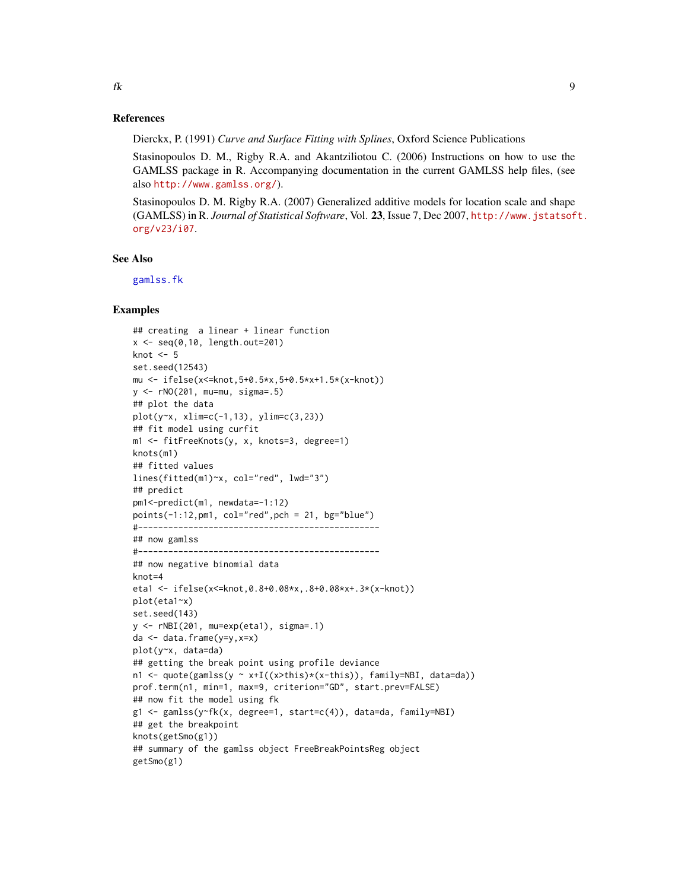#### <span id="page-8-0"></span>References

Dierckx, P. (1991) *Curve and Surface Fitting with Splines*, Oxford Science Publications

Stasinopoulos D. M., Rigby R.A. and Akantziliotou C. (2006) Instructions on how to use the GAMLSS package in R. Accompanying documentation in the current GAMLSS help files, (see also <http://www.gamlss.org/>).

Stasinopoulos D. M. Rigby R.A. (2007) Generalized additive models for location scale and shape (GAMLSS) in R. *Journal of Statistical Software*, Vol. 23, Issue 7, Dec 2007, [http://www.jstatsof](http://www.jstatsoft.org/v23/i07)t. [org/v23/i07](http://www.jstatsoft.org/v23/i07).

#### See Also

[gamlss.fk](#page-13-1)

#### Examples

```
## creating a linear + linear function
x \leq -\text{seq}(0, 10, \text{ length.out}=201)knot <- 5
set.seed(12543)
mu <- ifelse(x<=knot,5+0.5*x,5+0.5*x+1.5*(x-knot))
y <- rNO(201, mu=mu, sigma=.5)
## plot the data
plot(y~x, xlim=c(-1,13), ylim=c(3,23))
## fit model using curfit
m1 <- fitFreeKnots(y, x, knots=3, degree=1)
knots(m1)
## fitted values
lines(fitted(m1)~x, col="red", lwd="3")
## predict
pm1<-predict(m1, newdata=-1:12)
points(-1:12,pm1, col="red",pch = 21, bg="blue")
#------------------------------------------------
## now gamlss
#------------------------------------------------
## now negative binomial data
knot=4
eta1 <- ifelse(x<=knot,0.8+0.08*x,.8+0.08*x+.3*(x-knot))
plot(eta1~x)
set.seed(143)
y <- rNBI(201, mu=exp(eta1), sigma=.1)
da <- data.frame(y=y,x=x)
plot(y~x, data=da)
## getting the break point using profile deviance
n1 <- quote(gamlss(y ~ x+I((x>this)*(x-this)), family=NBI, data=da))
prof.term(n1, min=1, max=9, criterion="GD", start.prev=FALSE)
## now fit the model using fk
g1 <- gamlss(y~fk(x, degree=1, start=c(4)), data=da, family=NBI)
## get the breakpoint
knots(getSmo(g1))
## summary of the gamlss object FreeBreakPointsReg object
getSmo(g1)
```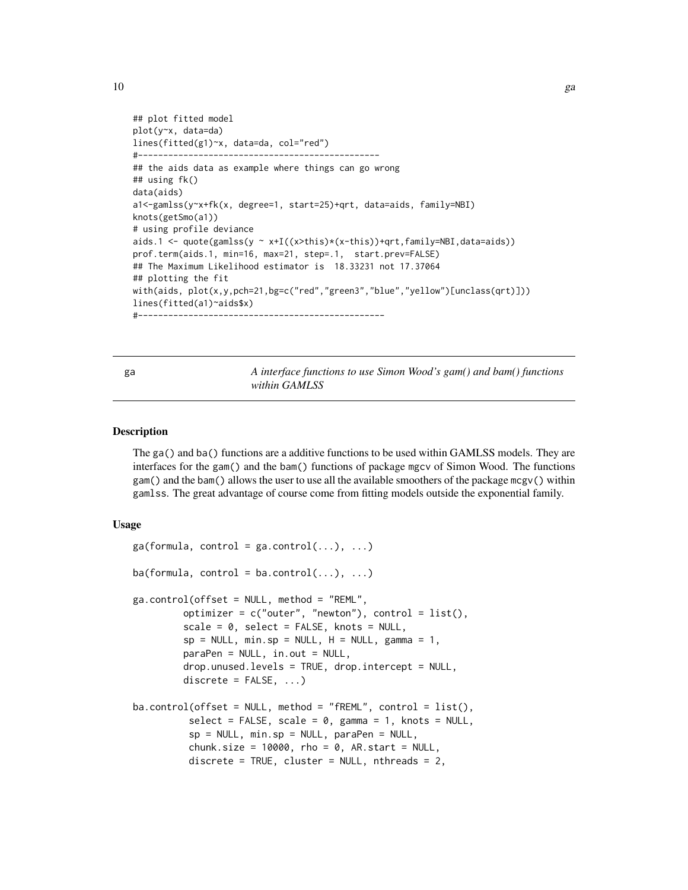```
## plot fitted model
plot(y~x, data=da)
lines(fitted(g1)~x, data=da, col="red")
#------------------------------------------------
## the aids data as example where things can go wrong
## using fk()
data(aids)
a1<-gamlss(y~x+fk(x, degree=1, start=25)+qrt, data=aids, family=NBI)
knots(getSmo(a1))
# using profile deviance
aids.1 <- quote(gamlss(y \sim x+I((x>this)*(x-this))+qrt,family=NBI,data=aids))
prof.term(aids.1, min=16, max=21, step=.1, start.prev=FALSE)
## The Maximum Likelihood estimator is 18.33231 not 17.37064
## plotting the fit
with(aids, plot(x,y,pch=21,bg=c("red","green3","blue","yellow")[unclass(qrt)]))
lines(fitted(a1)~aids$x)
#-------------------------------------------------
```
ga *A interface functions to use Simon Wood's gam() and bam() functions within GAMLSS*

#### Description

The ga() and ba() functions are a additive functions to be used within GAMLSS models. They are interfaces for the gam() and the bam() functions of package mgcv of Simon Wood. The functions gam() and the bam() allows the user to use all the available smoothers of the package mcgv() within gamlss. The great advantage of course come from fitting models outside the exponential family.

#### Usage

```
ga(formula, control = ga.contrib(...), ...)ba(formula, control = ba.contrib(...), ...)ga.control(offset = NULL, method = "REML",optimizer = c("outer", "newton"), control = list(),scale = 0, select = FALSE, knots = NULL,
         sp = NULL, min.sp = NULL, H = NULL, gamma = 1,
         paraPen = NULL, in.out = NULL,
         drop.unused.levels = TRUE, drop.intercept = NULL,
         discrete = FALSE, ...)ba.control(offset = NULL, method = "fREM", control = list(),select = FALSE, scale = 0, gamma = 1, knots = NULL,sp = NULL, min.sp = NULL, paraPen = NULL,
         chunk.size = 10000, rho = 0, AR.start = NULL,
         discrete = TRUE, cluster = NULL, nthreads = 2,
```
<span id="page-9-0"></span> $10$  ga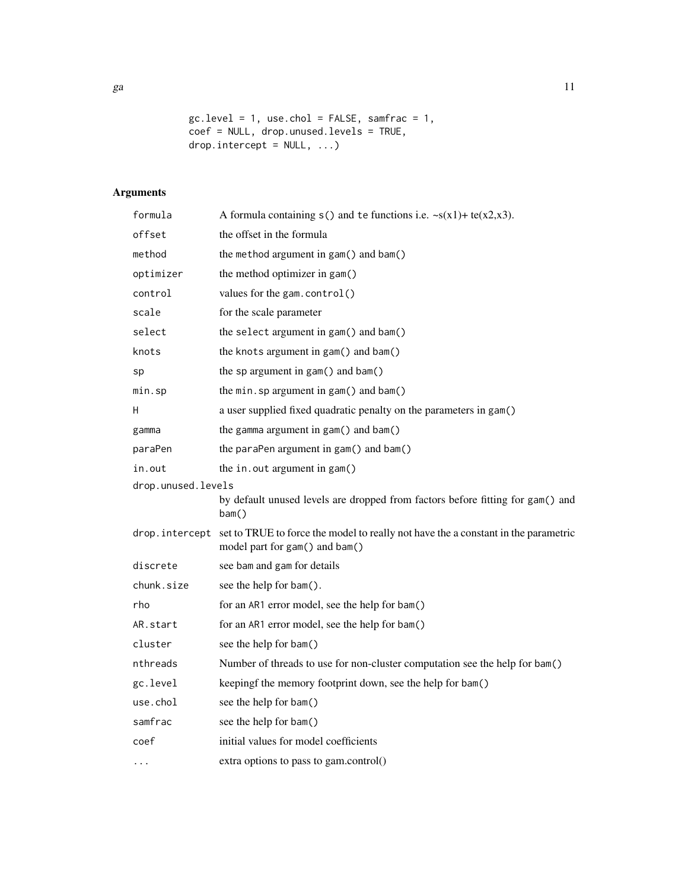$gc. level = 1, use. chol = FALSE, samfrac = 1,$ coef = NULL, drop.unused.levels = TRUE, drop.intercept =  $NULL, ...)$ 

## Arguments

| formula            | A formula containing $s()$ and te functions i.e. $\sim s(x1) + te(x2,x3)$ .                                          |
|--------------------|----------------------------------------------------------------------------------------------------------------------|
| offset             | the offset in the formula                                                                                            |
| method             | the method argument in gam() and bam()                                                                               |
| optimizer          | the method optimizer in gam()                                                                                        |
| control            | values for the gam.control()                                                                                         |
| scale              | for the scale parameter                                                                                              |
| select             | the select argument in gam() and bam()                                                                               |
| knots              | the knots argument in gam() and bam()                                                                                |
| sp                 | the sp argument in gam() and bam()                                                                                   |
| min.sp             | the min. sp argument in gam() and bam()                                                                              |
| H                  | a user supplied fixed quadratic penalty on the parameters in gam()                                                   |
| gamma              | the gamma argument in gam() and bam()                                                                                |
| paraPen            | the paraPen argument in gam() and bam()                                                                              |
| in.out             | the in. out argument in gam()                                                                                        |
| drop.unused.levels |                                                                                                                      |
|                    | by default unused levels are dropped from factors before fitting for gam() and<br>bam()                              |
| drop.intercept     | set to TRUE to force the model to really not have the a constant in the parametric<br>model part for gam() and bam() |
| discrete           | see bam and gam for details                                                                                          |
| chunk.size         | see the help for bam().                                                                                              |
| rho                | for an AR1 error model, see the help for bam()                                                                       |
| AR.start           | for an AR1 error model, see the help for bam()                                                                       |
| cluster            | see the help for bam()                                                                                               |
| nthreads           | Number of threads to use for non-cluster computation see the help for bam()                                          |
| gc.level           | keepingf the memory footprint down, see the help for bam()                                                           |
| use.chol           | see the help for bam()                                                                                               |
| samfrac            | see the help for bam()                                                                                               |
| coef               | initial values for model coefficients                                                                                |
| $\cdots$           | extra options to pass to gam.control()                                                                               |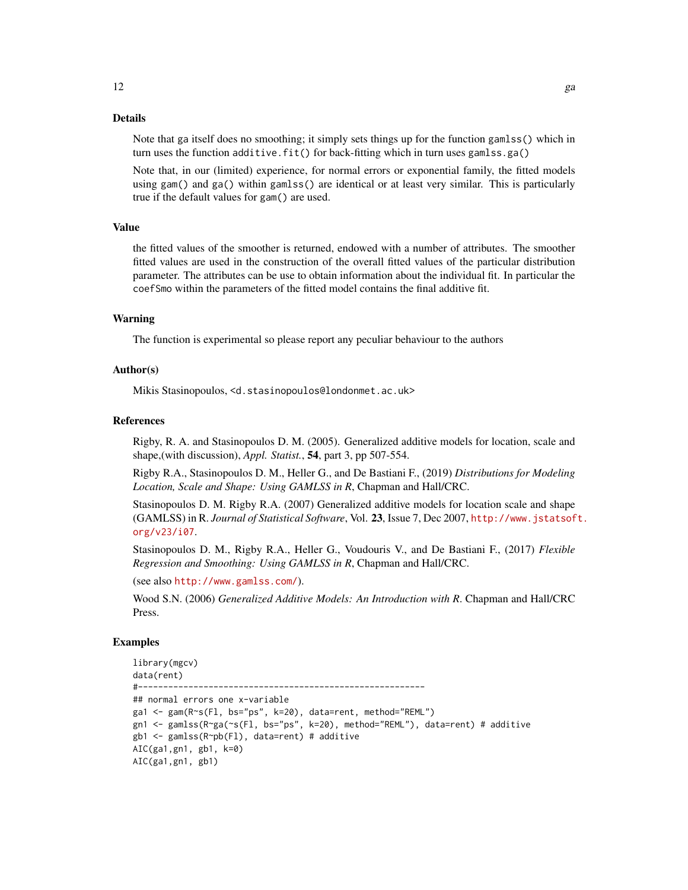#### Details

Note that ga itself does no smoothing; it simply sets things up for the function gamlss() which in turn uses the function additive.fit() for back-fitting which in turn uses gamlss.ga()

Note that, in our (limited) experience, for normal errors or exponential family, the fitted models using gam() and ga() within gamlss() are identical or at least very similar. This is particularly true if the default values for gam() are used.

#### Value

the fitted values of the smoother is returned, endowed with a number of attributes. The smoother fitted values are used in the construction of the overall fitted values of the particular distribution parameter. The attributes can be use to obtain information about the individual fit. In particular the coefSmo within the parameters of the fitted model contains the final additive fit.

#### Warning

The function is experimental so please report any peculiar behaviour to the authors

#### Author(s)

Mikis Stasinopoulos, <d.stasinopoulos@londonmet.ac.uk>

#### References

Rigby, R. A. and Stasinopoulos D. M. (2005). Generalized additive models for location, scale and shape,(with discussion), *Appl. Statist.*, 54, part 3, pp 507-554.

Rigby R.A., Stasinopoulos D. M., Heller G., and De Bastiani F., (2019) *Distributions for Modeling Location, Scale and Shape: Using GAMLSS in R*, Chapman and Hall/CRC.

Stasinopoulos D. M. Rigby R.A. (2007) Generalized additive models for location scale and shape (GAMLSS) in R. *Journal of Statistical Software*, Vol. 23, Issue 7, Dec 2007, [http://www.jstatsof](http://www.jstatsoft.org/v23/i07)t. [org/v23/i07](http://www.jstatsoft.org/v23/i07).

Stasinopoulos D. M., Rigby R.A., Heller G., Voudouris V., and De Bastiani F., (2017) *Flexible Regression and Smoothing: Using GAMLSS in R*, Chapman and Hall/CRC.

(see also <http://www.gamlss.com/>).

Wood S.N. (2006) *Generalized Additive Models: An Introduction with R*. Chapman and Hall/CRC Press.

#### Examples

```
library(mgcv)
data(rent)
#---------------------------------------------------------
## normal errors one x-variable
ga1 <- gam(R~s(Fl, bs="ps", k=20), data=rent, method="REML")
gn1 <- gamlss(R~ga(~s(Fl, bs="ps", k=20), method="REML"), data=rent) # additive
gb1 <- gamlss(R~pb(Fl), data=rent) # additive
AIC(ga1,gn1, gb1, k=0)
AIC(ga1,gn1, gb1)
```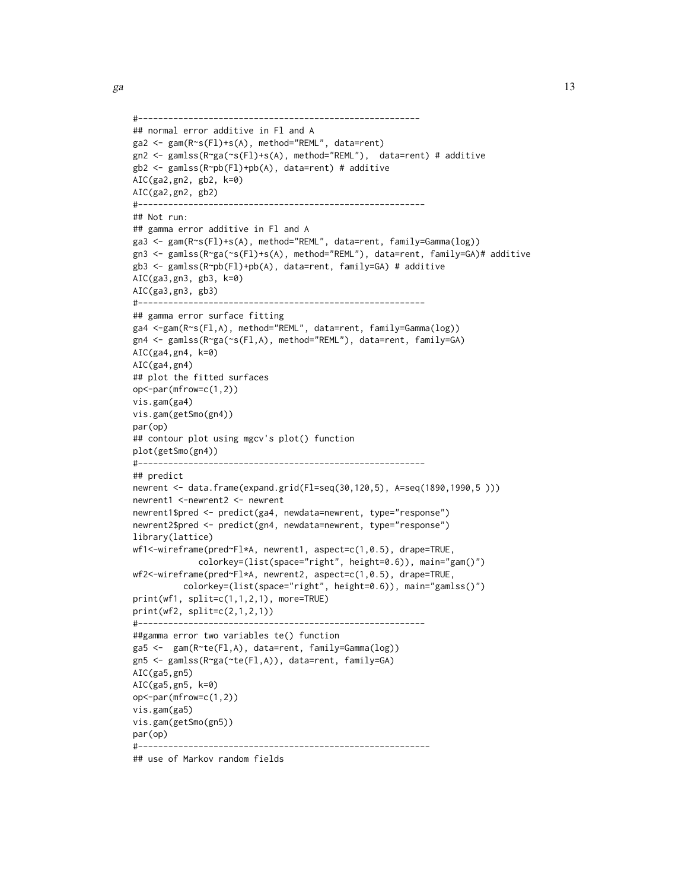```
#--------------------------------------------------------
## normal error additive in Fl and A
ga2 <- gam(R~s(Fl)+s(A), method="REML", data=rent)
gn2 <- gamlss(R~ga(~s(Fl)+s(A), method="REML"), data=rent) # additive
gb2 <- gamlss(R~pb(Fl)+pb(A), data=rent) # additive
AIC(ga2,gn2, gb2, k=0)
AIC(ga2,gn2, gb2)
#---------------------------------------------------------
## Not run:
## gamma error additive in Fl and A
ga3 <- gam(R~s(Fl)+s(A), method="REML", data=rent, family=Gamma(log))
gn3 <- gamlss(R~ga(~s(Fl)+s(A), method="REML"), data=rent, family=GA)# additive
gb3 <- gamlss(R~pb(Fl)+pb(A), data=rent, family=GA) # additive
AIC(ga3,gn3, gb3, k=0)
AIC(ga3,gn3, gb3)
#---------------------------------------------------------
## gamma error surface fitting
ga4 <-gam(R~s(Fl,A), method="REML", data=rent, family=Gamma(log))
gn4 <- gamlss(R~ga(~s(Fl,A), method="REML"), data=rent, family=GA)
AIC(ga4,gn4, k=0)
AIC(ga4,gn4)
## plot the fitted surfaces
op<-par(mfrow=c(1,2))
vis.gam(ga4)
vis.gam(getSmo(gn4))
par(op)
## contour plot using mgcv's plot() function
plot(getSmo(gn4))
#---------------------------------------------------------
## predict
newrent <- data.frame(expand.grid(Fl=seq(30,120,5), A=seq(1890,1990,5 )))
newrent1 <-newrent2 <- newrent
newrent1$pred <- predict(ga4, newdata=newrent, type="response")
newrent2$pred <- predict(gn4, newdata=newrent, type="response")
library(lattice)
wf1<-wireframe(pred~Fl*A, newrent1, aspect=c(1,0.5), drape=TRUE,
             colorkey=(list(space="right", height=0.6)), main="gam()")
wf2<-wireframe(pred~Fl*A, newrent2, aspect=c(1,0.5), drape=TRUE,
          colorkey=(list(space="right", height=0.6)), main="gamlss()")
print(wf1, split=c(1,1,2,1), more=TRUE)
print(wf2, split=c(2,1,2,1))
#---------------------------------------------------------
##gamma error two variables te() function
ga5 <- gam(R~te(Fl,A), data=rent, family=Gamma(log))
gn5 <- gamlss(R~ga(~te(Fl,A)), data=rent, family=GA)
AIC(ga5,gn5)
AIC(ga5,gn5, k=0)
op<-par(mfrow=c(1,2))
vis.gam(ga5)
vis.gam(getSmo(gn5))
par(op)
#----------------------------------------------------------
## use of Markov random fields
```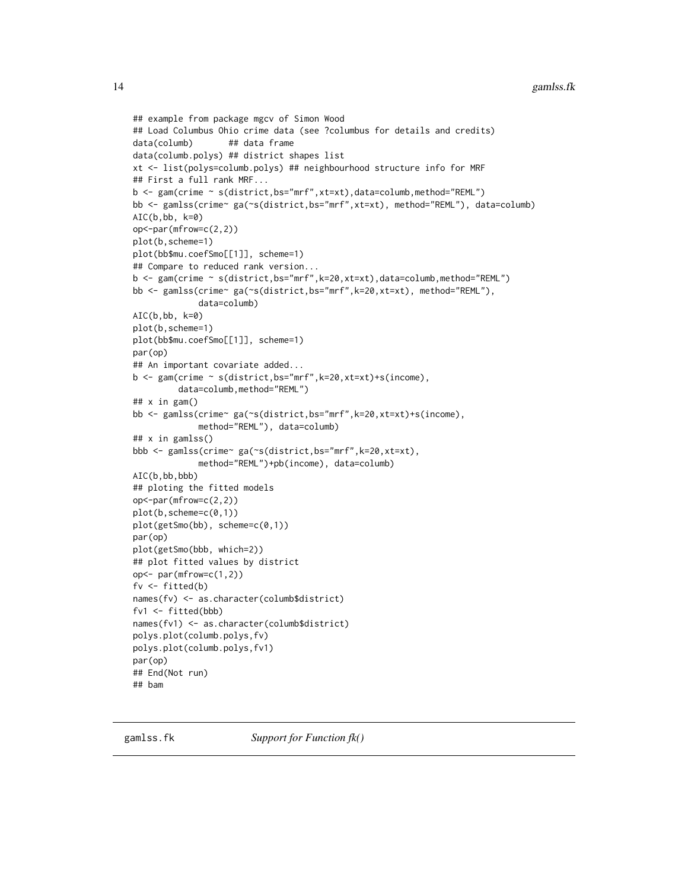```
## example from package mgcv of Simon Wood
## Load Columbus Ohio crime data (see ?columbus for details and credits)
data(columb) ## data frame
data(columb.polys) ## district shapes list
xt <- list(polys=columb.polys) ## neighbourhood structure info for MRF
## First a full rank MRF...
b <- gam(crime ~ s(district,bs="mrf",xt=xt),data=columb,method="REML")
bb <- gamlss(crime~ ga(~s(district,bs="mrf",xt=xt), method="REML"), data=columb)
AIC(b, bb, k=0)op<-par(mfrow=c(2,2))
plot(b,scheme=1)
plot(bb$mu.coefSmo[[1]], scheme=1)
## Compare to reduced rank version...
b <- gam(crime ~ s(district,bs="mrf",k=20,xt=xt),data=columb,method="REML")
bb <- gamlss(crime~ ga(~s(district,bs="mrf",k=20,xt=xt), method="REML"),
             data=columb)
AIC(b,bb, k=0)
plot(b,scheme=1)
plot(bb$mu.coefSmo[[1]], scheme=1)
par(op)
## An important covariate added...
b \leq gam(crime \sim s(district, bs="mrf", k=20, xt=xt)+s(income),
         data=columb,method="REML")
## x in gam()
bb <- gamlss(crime~ ga(~s(district,bs="mrf",k=20,xt=xt)+s(income),
             method="REML"), data=columb)
## x in gamlss()
bbb <- gamlss(crime~ ga(~s(district,bs="mrf",k=20,xt=xt),
             method="REML")+pb(income), data=columb)
AIC(b,bb,bbb)
## ploting the fitted models
op<-par(mfrow=c(2,2))
plot(b,scheme=c(0,1))
plot(getSmo(bb), scheme=c(0,1))
par(op)
plot(getSmo(bbb, which=2))
## plot fitted values by district
op<- par(mfrow=c(1,2))
fv <- fitted(b)
names(fv) <- as.character(columb$district)
fv1 <- fitted(bbb)
names(fv1) <- as.character(columb$district)
polys.plot(columb.polys,fv)
polys.plot(columb.polys,fv1)
par(op)
## End(Not run)
## bam
```
<span id="page-13-1"></span>

<span id="page-13-0"></span>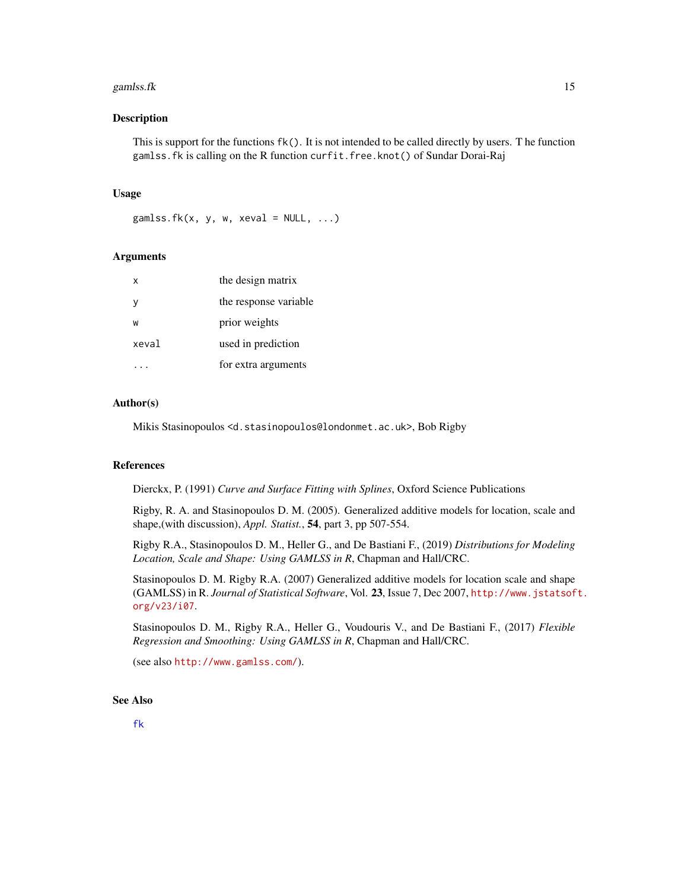#### <span id="page-14-0"></span>gamlss.fk  $\sim$  15

#### **Description**

This is support for the functions fk(). It is not intended to be called directly by users. T he function gamlss.fk is calling on the R function curfit.free.knot() of Sundar Dorai-Raj

#### Usage

gamlss.fk(x, y, w, xeval =  $NULL, ...)$ 

#### **Arguments**

| x     | the design matrix     |
|-------|-----------------------|
| v     | the response variable |
| W     | prior weights         |
| xeval | used in prediction    |
|       | for extra arguments   |

#### Author(s)

Mikis Stasinopoulos <d.stasinopoulos@londonmet.ac.uk>, Bob Rigby

#### References

Dierckx, P. (1991) *Curve and Surface Fitting with Splines*, Oxford Science Publications

Rigby, R. A. and Stasinopoulos D. M. (2005). Generalized additive models for location, scale and shape,(with discussion), *Appl. Statist.*, 54, part 3, pp 507-554.

Rigby R.A., Stasinopoulos D. M., Heller G., and De Bastiani F., (2019) *Distributions for Modeling Location, Scale and Shape: Using GAMLSS in R*, Chapman and Hall/CRC.

Stasinopoulos D. M. Rigby R.A. (2007) Generalized additive models for location scale and shape (GAMLSS) in R. *Journal of Statistical Software*, Vol. 23, Issue 7, Dec 2007, [http://www.jstatsof](http://www.jstatsoft.org/v23/i07)t. [org/v23/i07](http://www.jstatsoft.org/v23/i07).

Stasinopoulos D. M., Rigby R.A., Heller G., Voudouris V., and De Bastiani F., (2017) *Flexible Regression and Smoothing: Using GAMLSS in R*, Chapman and Hall/CRC.

(see also <http://www.gamlss.com/>).

#### See Also

[fk](#page-7-1)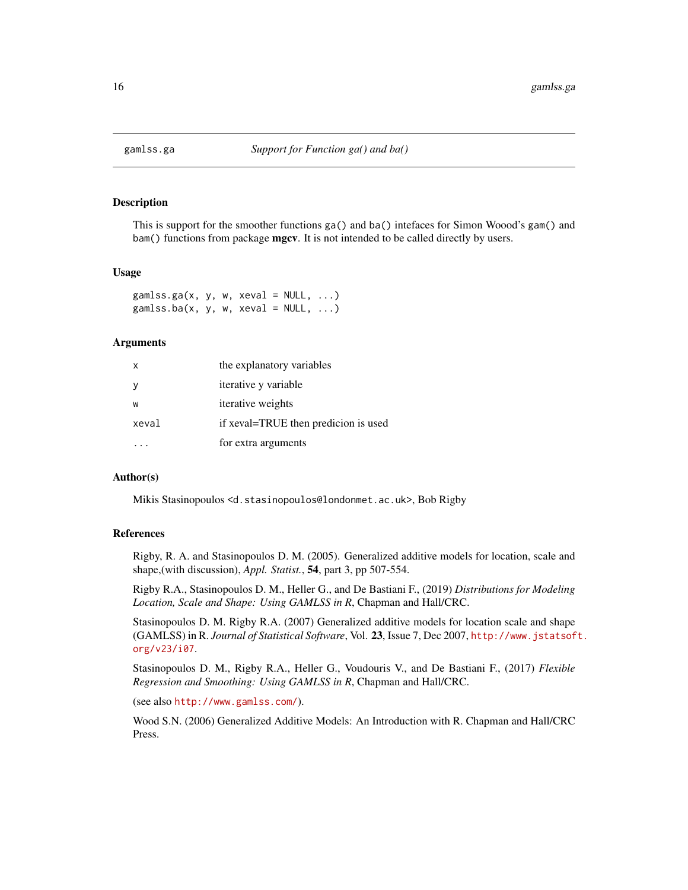<span id="page-15-0"></span>

This is support for the smoother functions ga() and ba() intefaces for Simon Woood's gam() and bam() functions from package **mgcv**. It is not intended to be called directly by users.

#### Usage

 $gamlss.ga(x, y, w, xeval = NULL, ...)$ gamlss.ba(x, y, w, xeval =  $NULL, ...)$ 

#### Arguments

| $\mathsf{x}$ | the explanatory variables            |
|--------------|--------------------------------------|
|              | <i>iterative</i> y variable          |
| w            | iterative weights                    |
| xeval        | if xeval=TRUE then predicion is used |
|              | for extra arguments                  |

#### Author(s)

Mikis Stasinopoulos <d.stasinopoulos@londonmet.ac.uk>, Bob Rigby

#### References

Rigby, R. A. and Stasinopoulos D. M. (2005). Generalized additive models for location, scale and shape,(with discussion), *Appl. Statist.*, 54, part 3, pp 507-554.

Rigby R.A., Stasinopoulos D. M., Heller G., and De Bastiani F., (2019) *Distributions for Modeling Location, Scale and Shape: Using GAMLSS in R*, Chapman and Hall/CRC.

Stasinopoulos D. M. Rigby R.A. (2007) Generalized additive models for location scale and shape (GAMLSS) in R. *Journal of Statistical Software*, Vol. 23, Issue 7, Dec 2007, [http://www.jstatsof](http://www.jstatsoft.org/v23/i07)t. [org/v23/i07](http://www.jstatsoft.org/v23/i07).

Stasinopoulos D. M., Rigby R.A., Heller G., Voudouris V., and De Bastiani F., (2017) *Flexible Regression and Smoothing: Using GAMLSS in R*, Chapman and Hall/CRC.

(see also <http://www.gamlss.com/>).

Wood S.N. (2006) Generalized Additive Models: An Introduction with R. Chapman and Hall/CRC Press.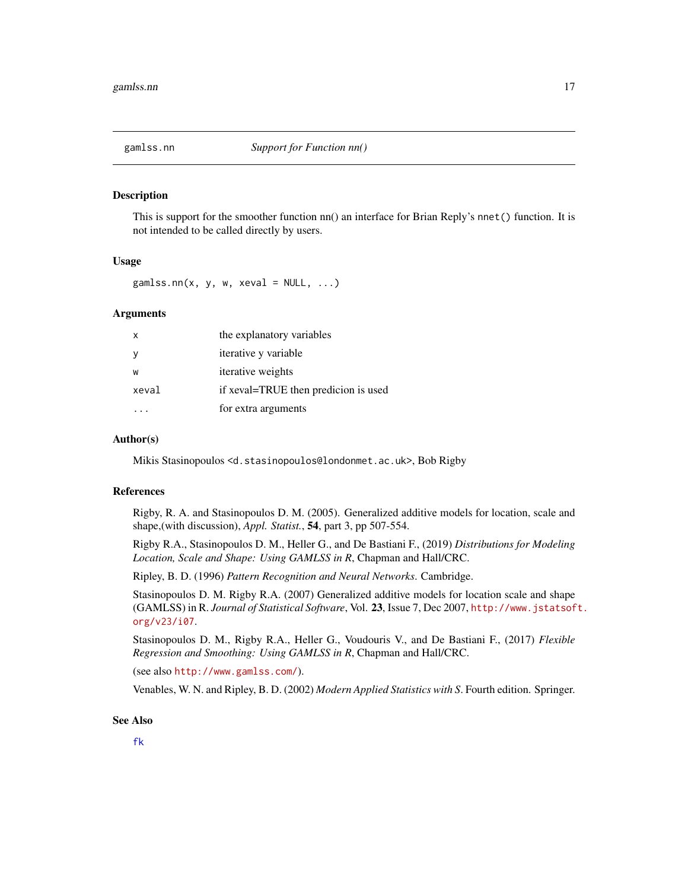<span id="page-16-0"></span>

This is support for the smoother function nn() an interface for Brian Reply's nnet() function. It is not intended to be called directly by users.

#### Usage

 $gamlss.nn(x, y, w, xeval = NULL, ...)$ 

#### Arguments

| $\mathsf{x}$ | the explanatory variables            |
|--------------|--------------------------------------|
|              | <i>iterative</i> y variable          |
| W            | iterative weights                    |
| xeval        | if xeval=TRUE then predicion is used |
|              | for extra arguments                  |

#### Author(s)

Mikis Stasinopoulos <d.stasinopoulos@londonmet.ac.uk>, Bob Rigby

#### References

Rigby, R. A. and Stasinopoulos D. M. (2005). Generalized additive models for location, scale and shape,(with discussion), *Appl. Statist.*, 54, part 3, pp 507-554.

Rigby R.A., Stasinopoulos D. M., Heller G., and De Bastiani F., (2019) *Distributions for Modeling Location, Scale and Shape: Using GAMLSS in R*, Chapman and Hall/CRC.

Ripley, B. D. (1996) *Pattern Recognition and Neural Networks*. Cambridge.

Stasinopoulos D. M. Rigby R.A. (2007) Generalized additive models for location scale and shape (GAMLSS) in R. *Journal of Statistical Software*, Vol. 23, Issue 7, Dec 2007, [http://www.jstatsof](http://www.jstatsoft.org/v23/i07)t. [org/v23/i07](http://www.jstatsoft.org/v23/i07).

Stasinopoulos D. M., Rigby R.A., Heller G., Voudouris V., and De Bastiani F., (2017) *Flexible Regression and Smoothing: Using GAMLSS in R*, Chapman and Hall/CRC.

(see also <http://www.gamlss.com/>).

Venables, W. N. and Ripley, B. D. (2002) *Modern Applied Statistics with S*. Fourth edition. Springer.

#### See Also

[fk](#page-7-1)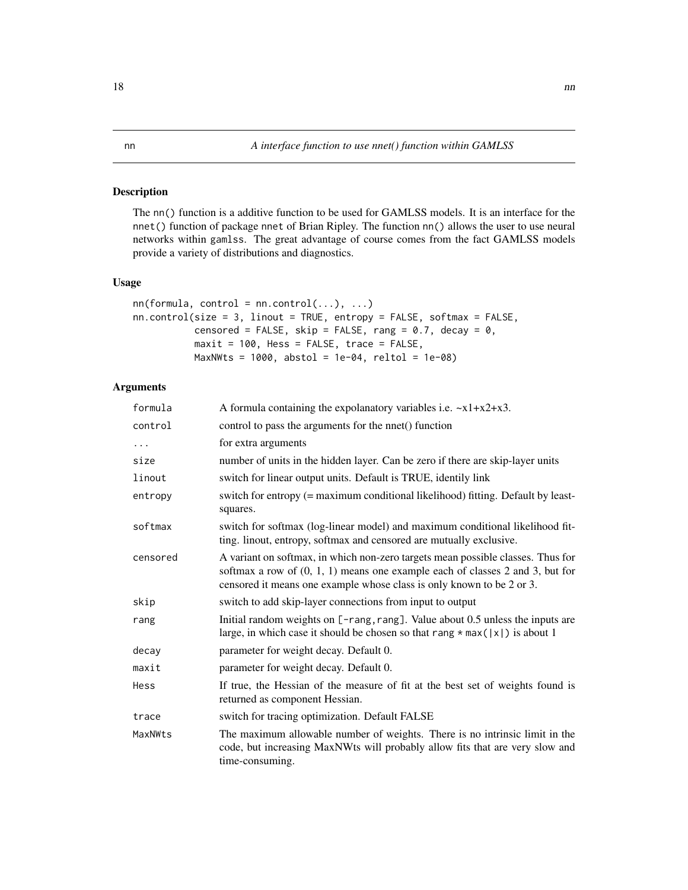<span id="page-17-1"></span><span id="page-17-0"></span>The nn() function is a additive function to be used for GAMLSS models. It is an interface for the nnet() function of package nnet of Brian Ripley. The function nn() allows the user to use neural networks within gamlss. The great advantage of course comes from the fact GAMLSS models provide a variety of distributions and diagnostics.

#### Usage

```
nn(formula, control = nn.contrib(...), ...)nn.control(size = 3, linout = TRUE, entropy = FALSE, softmax = FALSE,censored = FALSE, skip = FALSE, rang = 0.7, decay = 0,
          maxit = 100, Hess = FALSE, trace = FALSE,
          MaxNWts = 1000, abstol = 1e-04, reltol = 1e-08)
```
### Arguments

| formula  | A formula containing the expolanatory variables i.e. $-x1+x2+x3$ .                                                                                                                                                                          |
|----------|---------------------------------------------------------------------------------------------------------------------------------------------------------------------------------------------------------------------------------------------|
| control  | control to pass the arguments for the nnet() function                                                                                                                                                                                       |
| $\ddots$ | for extra arguments                                                                                                                                                                                                                         |
| size     | number of units in the hidden layer. Can be zero if there are skip-layer units                                                                                                                                                              |
| linout   | switch for linear output units. Default is TRUE, identily link                                                                                                                                                                              |
| entropy  | switch for entropy (= maximum conditional likelihood) fitting. Default by least-<br>squares.                                                                                                                                                |
| softmax  | switch for softmax (log-linear model) and maximum conditional likelihood fit-<br>ting. linout, entropy, softmax and censored are mutually exclusive.                                                                                        |
| censored | A variant on softmax, in which non-zero targets mean possible classes. Thus for<br>softmax a row of $(0, 1, 1)$ means one example each of classes 2 and 3, but for<br>censored it means one example whose class is only known to be 2 or 3. |
| skip     | switch to add skip-layer connections from input to output                                                                                                                                                                                   |
| rang     | Initial random weights on [-rang, rang]. Value about 0.5 unless the inputs are<br>large, in which case it should be chosen so that rang $*$ max( $ x $ ) is about 1                                                                         |
| decay    | parameter for weight decay. Default 0.                                                                                                                                                                                                      |
| maxit    | parameter for weight decay. Default 0.                                                                                                                                                                                                      |
| Hess     | If true, the Hessian of the measure of fit at the best set of weights found is<br>returned as component Hessian.                                                                                                                            |
| trace    | switch for tracing optimization. Default FALSE                                                                                                                                                                                              |
| MaxNWts  | The maximum allowable number of weights. There is no intrinsic limit in the<br>code, but increasing MaxNWts will probably allow fits that are very slow and<br>time-consuming.                                                              |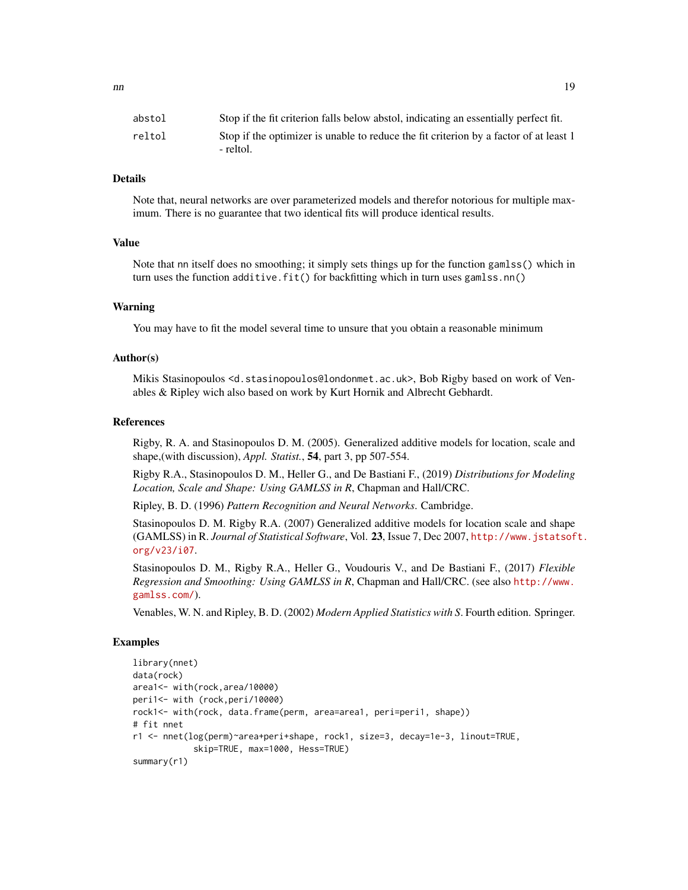| abstol | Stop if the fit criterion falls below abstol, indicating an essentially perfect fit.               |
|--------|----------------------------------------------------------------------------------------------------|
| reltol | Stop if the optimizer is unable to reduce the fit criterion by a factor of at least 1<br>- reltol. |

#### Details

Note that, neural networks are over parameterized models and therefor notorious for multiple maximum. There is no guarantee that two identical fits will produce identical results.

#### Value

Note that nn itself does no smoothing; it simply sets things up for the function gamlss() which in turn uses the function additive.fit() for backfitting which in turn uses gamlss.nn()

#### Warning

You may have to fit the model several time to unsure that you obtain a reasonable minimum

#### Author(s)

Mikis Stasinopoulos <d.stasinopoulos@londonmet.ac.uk>, Bob Rigby based on work of Venables & Ripley wich also based on work by Kurt Hornik and Albrecht Gebhardt.

#### References

Rigby, R. A. and Stasinopoulos D. M. (2005). Generalized additive models for location, scale and shape,(with discussion), *Appl. Statist.*, 54, part 3, pp 507-554.

Rigby R.A., Stasinopoulos D. M., Heller G., and De Bastiani F., (2019) *Distributions for Modeling Location, Scale and Shape: Using GAMLSS in R*, Chapman and Hall/CRC.

Ripley, B. D. (1996) *Pattern Recognition and Neural Networks*. Cambridge.

Stasinopoulos D. M. Rigby R.A. (2007) Generalized additive models for location scale and shape (GAMLSS) in R. *Journal of Statistical Software*, Vol. 23, Issue 7, Dec 2007, [http://www.jstatsof](http://www.jstatsoft.org/v23/i07)t. [org/v23/i07](http://www.jstatsoft.org/v23/i07).

Stasinopoulos D. M., Rigby R.A., Heller G., Voudouris V., and De Bastiani F., (2017) *Flexible Regression and Smoothing: Using GAMLSS in R*, Chapman and Hall/CRC. (see also [http://www.](http://www.gamlss.com/) [gamlss.com/](http://www.gamlss.com/)).

Venables, W. N. and Ripley, B. D. (2002) *Modern Applied Statistics with S*. Fourth edition. Springer.

#### Examples

```
library(nnet)
data(rock)
area1<- with(rock,area/10000)
peri1<- with (rock,peri/10000)
rock1<- with(rock, data.frame(perm, area=area1, peri=peri1, shape))
# fit nnet
r1 <- nnet(log(perm)~area+peri+shape, rock1, size=3, decay=1e-3, linout=TRUE,
            skip=TRUE, max=1000, Hess=TRUE)
summary(r1)
```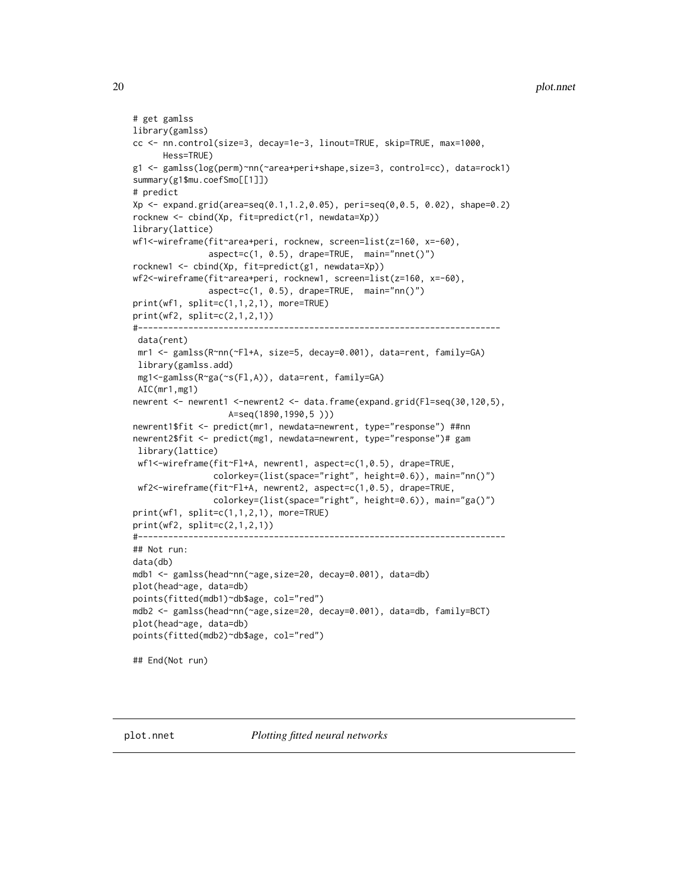```
# get gamlss
library(gamlss)
cc <- nn.control(size=3, decay=1e-3, linout=TRUE, skip=TRUE, max=1000,
     Hess=TRUE)
g1 <- gamlss(log(perm)~nn(~area+peri+shape,size=3, control=cc), data=rock1)
summary(g1$mu.coefSmo[[1]])
# predict
Xp \le - expand.grid(area=seq(0.1,1.2,0.05), peri=seq(0,0.5, 0.02), shape=0.2)
rocknew <- cbind(Xp, fit=predict(r1, newdata=Xp))
library(lattice)
wf1<-wireframe(fit~area+peri, rocknew, screen=list(z=160, x=-60),
               aspect=c(1, 0.5), drape=TRUE, main="nnet()")
rocknew1 <- cbind(Xp, fit=predict(g1, newdata=Xp))
wf2<-wireframe(fit~area+peri, rocknew1, screen=list(z=160, x=-60),
               aspect=c(1, 0.5), drape=TRUE, main="nn()")
print(wf1, split=c(1,1,2,1), more=TRUE)
print(wf2, split=c(2,1,2,1))
#------------------------------------------------------------------------
 data(rent)
 mr1 <- gamlss(R~nn(~Fl+A, size=5, decay=0.001), data=rent, family=GA)
 library(gamlss.add)
 mg1<-gamlss(R~ga(~s(Fl,A)), data=rent, family=GA)
 AIC(mr1,mg1)
newrent <- newrent1 <-newrent2 <- data.frame(expand.grid(Fl=seq(30,120,5),
                   A=seq(1890,1990,5 )))
newrent1$fit <- predict(mr1, newdata=newrent, type="response") ##nn
newrent2$fit <- predict(mg1, newdata=newrent, type="response")# gam
 library(lattice)
 wf1<-wireframe(fit~Fl+A, newrent1, aspect=c(1,0.5), drape=TRUE,
                colorkey=(list(space="right", height=0.6)), main="nn()")
 wf2<-wireframe(fit~Fl+A, newrent2, aspect=c(1,0.5), drape=TRUE,
                colorkey=(list(space="right", height=0.6)), main="ga()")
print(wf1, split=c(1,1,2,1), more=TRUE)
print(wf2, split=c(2,1,2,1))
#-------------------------------------------------------------------------
## Not run:
data(db)
mdb1 <- gamlss(head~nn(~age,size=20, decay=0.001), data=db)
plot(head~age, data=db)
points(fitted(mdb1)~db$age, col="red")
mdb2 <- gamlss(head~nn(~age,size=20, decay=0.001), data=db, family=BCT)
plot(head~age, data=db)
points(fitted(mdb2)~db$age, col="red")
## End(Not run)
```
plot.nnet *Plotting fitted neural networks*

<span id="page-19-0"></span>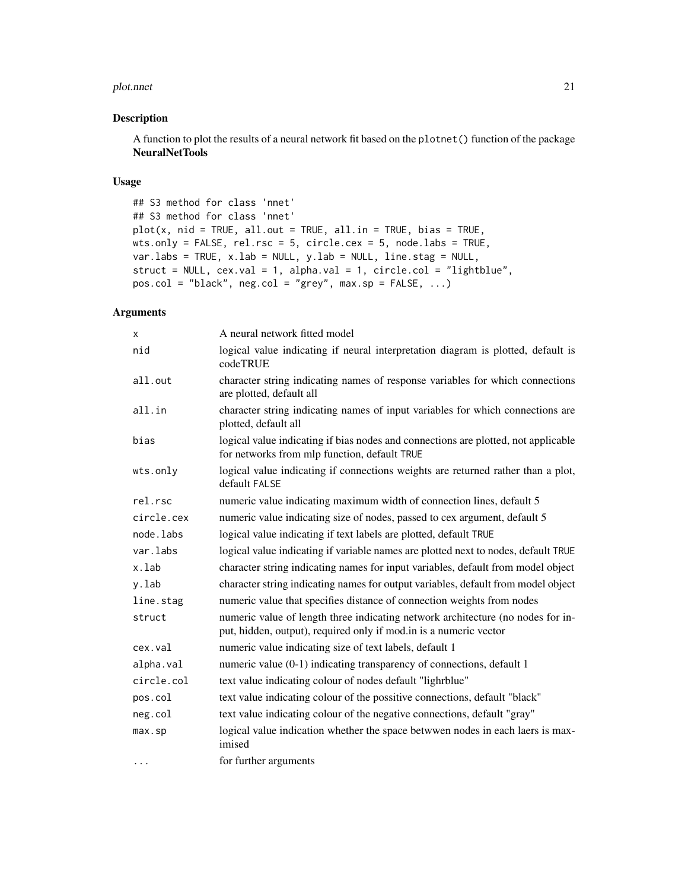#### plot.nnet 21

#### Description

A function to plot the results of a neural network fit based on the plotnet() function of the package NeuralNetTools

#### Usage

```
## S3 method for class 'nnet'
## S3 method for class 'nnet'
plot(x, \text{nid} = TRUE, \text{all.out} = TRUE, \text{all.in} = TRUE, \text{bias} = TRUE,wts.only = FALSE, rel.rsc = 5, circle.cex = 5, node.labs = TRUE,
var.labs = TRUE, x.lab = NULL, y.lab = NULL, line.stag = NULL,
struct = NULL, cex.val = 1, alpha.val = 1, circle.col = "lightblue",
pos.col = "black", neg.col = "grey", max.sp = FALSE, ...)
```
#### Arguments

| x          | A neural network fitted model                                                                                                                        |
|------------|------------------------------------------------------------------------------------------------------------------------------------------------------|
| nid        | logical value indicating if neural interpretation diagram is plotted, default is<br>codeTRUE                                                         |
| all.out    | character string indicating names of response variables for which connections<br>are plotted, default all                                            |
| all.in     | character string indicating names of input variables for which connections are<br>plotted, default all                                               |
| bias       | logical value indicating if bias nodes and connections are plotted, not applicable<br>for networks from mlp function, default TRUE                   |
| wts.only   | logical value indicating if connections weights are returned rather than a plot,<br>default FALSE                                                    |
| rel.rsc    | numeric value indicating maximum width of connection lines, default 5                                                                                |
| circle.cex | numeric value indicating size of nodes, passed to cex argument, default 5                                                                            |
| node.labs  | logical value indicating if text labels are plotted, default TRUE                                                                                    |
| var.labs   | logical value indicating if variable names are plotted next to nodes, default TRUE                                                                   |
| x.lab      | character string indicating names for input variables, default from model object                                                                     |
| y.lab      | character string indicating names for output variables, default from model object                                                                    |
| line.stag  | numeric value that specifies distance of connection weights from nodes                                                                               |
| struct     | numeric value of length three indicating network architecture (no nodes for in-<br>put, hidden, output), required only if mod.in is a numeric vector |
| cex.val    | numeric value indicating size of text labels, default 1                                                                                              |
| alpha.val  | numeric value (0-1) indicating transparency of connections, default 1                                                                                |
| circle.col | text value indicating colour of nodes default "lighrblue"                                                                                            |
| pos.col    | text value indicating colour of the possitive connections, default "black"                                                                           |
| neg.col    | text value indicating colour of the negative connections, default "gray"                                                                             |
| max.sp     | logical value indication whether the space betwwen nodes in each laers is max-<br>imised                                                             |
| $\cdots$   | for further arguments                                                                                                                                |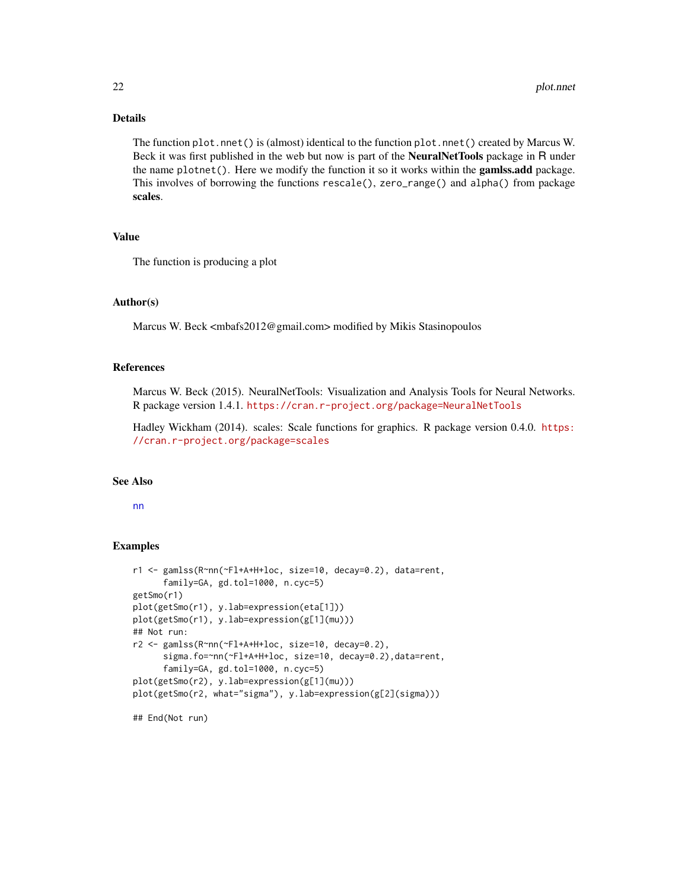#### Details

The function plot.nnet() is (almost) identical to the function plot.nnet() created by Marcus W. Beck it was first published in the web but now is part of the NeuralNetTools package in R under the name  $plotnet()$ . Here we modify the function it so it works within the **gamlss.add** package. This involves of borrowing the functions rescale(), zero\_range() and alpha() from package scales.

#### Value

The function is producing a plot

#### Author(s)

Marcus W. Beck <mbafs2012@gmail.com> modified by Mikis Stasinopoulos

#### References

Marcus W. Beck (2015). NeuralNetTools: Visualization and Analysis Tools for Neural Networks. R package version 1.4.1. <https://cran.r-project.org/package=NeuralNetTools>

Hadley Wickham (2014). scales: Scale functions for graphics. R package version 0.4.0. [https:](https://cran.r-project.org/package=scales) [//cran.r-project.org/package=scales](https://cran.r-project.org/package=scales)

### See Also

[nn](#page-17-1)

#### Examples

```
r1 <- gamlss(R~nn(~Fl+A+H+loc, size=10, decay=0.2), data=rent,
      family=GA, gd.tol=1000, n.cyc=5)
getSmo(r1)
plot(getSmo(r1), y.lab=expression(eta[1]))
plot(getSmo(r1), y.lab=expression(g[1](mu)))
## Not run:
r2 <- gamlss(R~nn(~Fl+A+H+loc, size=10, decay=0.2),
      sigma.fo=~nn(~Fl+A+H+loc, size=10, decay=0.2),data=rent,
      family=GA, gd.tol=1000, n.cyc=5)
plot(getSmo(r2), y.lab=expression(g[1](mu)))
plot(getSmo(r2, what="sigma"), y.lab=expression(g[2](sigma)))
```
## End(Not run)

<span id="page-21-0"></span>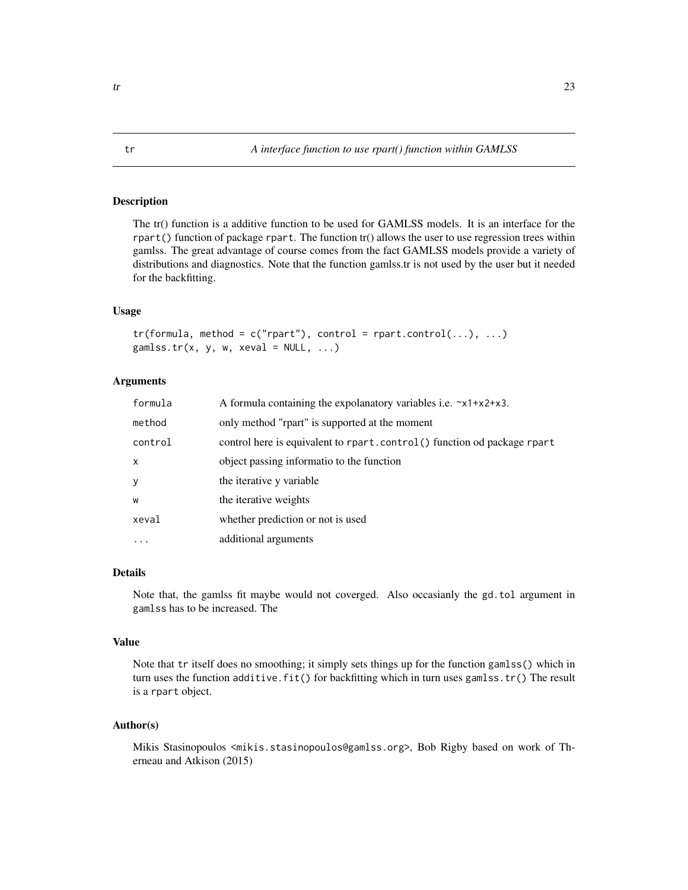<span id="page-22-0"></span>The tr() function is a additive function to be used for GAMLSS models. It is an interface for the rpart() function of package rpart. The function tr() allows the user to use regression trees within gamlss. The great advantage of course comes from the fact GAMLSS models provide a variety of distributions and diagnostics. Note that the function gamlss.tr is not used by the user but it needed for the backfitting.

#### Usage

 $tr(formula, method = c("rpart"), control = rpart.contrib(...), ...)$ gamlss.tr(x, y, w, xeval =  $NULL, ...)$ 

#### **Arguments**

| formula      | A formula containing the expolanatory variables i.e. $x1+x2+x3$ .       |
|--------------|-------------------------------------------------------------------------|
| method       | only method "rpart" is supported at the moment                          |
| control      | control here is equivalent to rpart.control() function od package rpart |
| $\mathsf{x}$ | object passing informatio to the function                               |
| У            | the iterative y variable                                                |
| W            | the iterative weights                                                   |
| xeval        | whether prediction or not is used                                       |
| $\cdots$     | additional arguments                                                    |

#### Details

Note that, the gamlss fit maybe would not coverged. Also occasianly the gd.tol argument in gamlss has to be increased. The

#### Value

Note that tr itself does no smoothing; it simply sets things up for the function gamlss() which in turn uses the function additive.fit() for backfitting which in turn uses gamlss.tr() The result is a rpart object.

#### Author(s)

Mikis Stasinopoulos <mikis.stasinopoulos@gamlss.org>, Bob Rigby based on work of Therneau and Atkison (2015)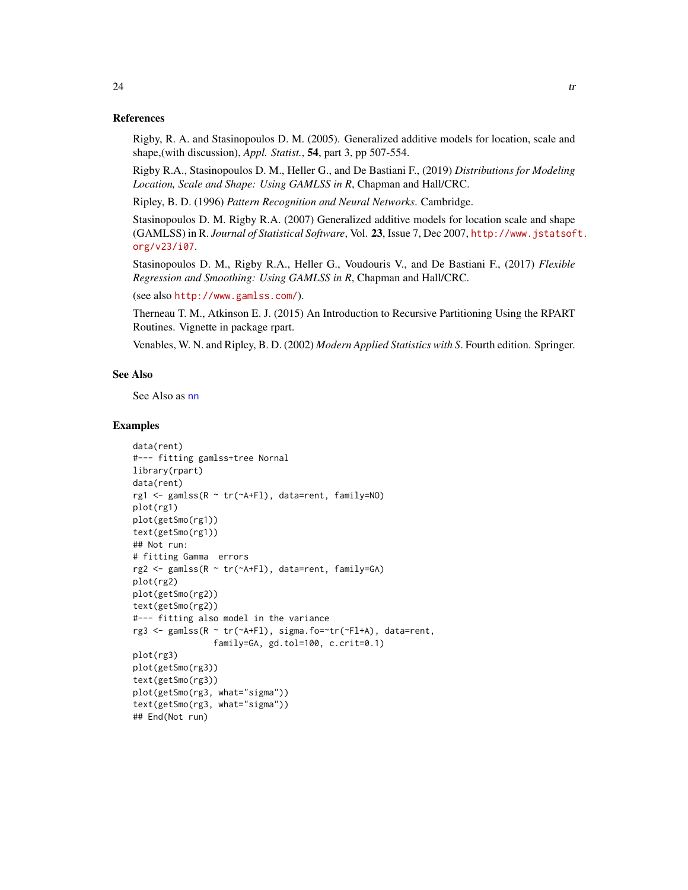#### References

Rigby, R. A. and Stasinopoulos D. M. (2005). Generalized additive models for location, scale and shape,(with discussion), *Appl. Statist.*, 54, part 3, pp 507-554.

Rigby R.A., Stasinopoulos D. M., Heller G., and De Bastiani F., (2019) *Distributions for Modeling Location, Scale and Shape: Using GAMLSS in R*, Chapman and Hall/CRC.

Ripley, B. D. (1996) *Pattern Recognition and Neural Networks*. Cambridge.

Stasinopoulos D. M. Rigby R.A. (2007) Generalized additive models for location scale and shape (GAMLSS) in R. *Journal of Statistical Software*, Vol. 23, Issue 7, Dec 2007, [http://www.jstatsof](http://www.jstatsoft.org/v23/i07)t. [org/v23/i07](http://www.jstatsoft.org/v23/i07).

Stasinopoulos D. M., Rigby R.A., Heller G., Voudouris V., and De Bastiani F., (2017) *Flexible Regression and Smoothing: Using GAMLSS in R*, Chapman and Hall/CRC.

(see also <http://www.gamlss.com/>).

Therneau T. M., Atkinson E. J. (2015) An Introduction to Recursive Partitioning Using the RPART Routines. Vignette in package rpart.

Venables, W. N. and Ripley, B. D. (2002) *Modern Applied Statistics with S*. Fourth edition. Springer.

#### See Also

See Also as [nn](#page-17-1)

#### Examples

```
data(rent)
#--- fitting gamlss+tree Nornal
library(rpart)
data(rent)
rg1 <- gamlss(R ~ tr(~A+Fl), data=rent, family=NO)
plot(rg1)
plot(getSmo(rg1))
text(getSmo(rg1))
## Not run:
# fitting Gamma errors
rg2 <- gamlss(R ~ tr(~A+Fl), data=rent, family=GA)
plot(rg2)
plot(getSmo(rg2))
text(getSmo(rg2))
#--- fitting also model in the variance
rg3 <- gamlss(R ~ tr(~A+Fl), sigma.fo=~tr(~Fl+A), data=rent,
                family=GA, gd.tol=100, c.crit=0.1)
plot(rg3)
plot(getSmo(rg3))
text(getSmo(rg3))
plot(getSmo(rg3, what="sigma"))
text(getSmo(rg3, what="sigma"))
## End(Not run)
```
<span id="page-23-0"></span> $24$  transfer that the set of  $\alpha$  transfer that the set of  $\alpha$  transfer that the set of  $\alpha$